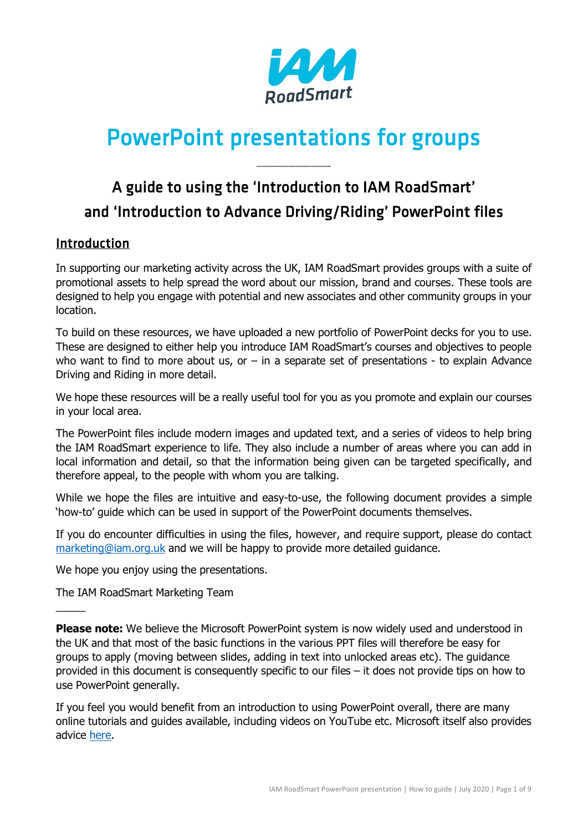

# PowerPoint presentations for groups

 $\overline{\phantom{a}}$  , where  $\overline{\phantom{a}}$ 

## A guide to using the 'Introduction to IAM RoadSmart' and 'Introduction to Advance Driving/Riding' PowerPoint files

## Introduction

In supporting our marketing activity across the UK, IAM RoadSmart provides groups with a suite of promotional assets to help spread the word about our mission, brand and courses. These tools are designed to help you engage with potential and new associates and other community groups in your location.

To build on these resources, we have uploaded a new portfolio of PowerPoint decks for you to use. These are designed to either help you introduce IAM RoadSmart's courses and objectives to people who want to find to more about us, or  $-$  in a separate set of presentations - to explain Advance Driving and Riding in more detail.

We hope these resources will be a really useful tool for you as you promote and explain our courses in your local area.

The PowerPoint files include modern images and updated text, and a series of videos to help bring the IAM RoadSmart experience to life. They also include a number of areas where you can add in local information and detail, so that the information being given can be targeted specifically, and therefore appeal, to the people with whom you are talking.

While we hope the files are intuitive and easy-to-use, the following document provides a simple 'how-to' guide which can be used in support of the PowerPoint documents themselves.

If you do encounter difficulties in using the files, however, and require support, please do contact [marketing@iam.org.uk](mailto:marketing@iam.org.uk) and we will be happy to provide more detailed guidance.

We hope you enjoy using the presentations.

The IAM RoadSmart Marketing Team

 $\overline{\phantom{a}}$ 

**Please note:** We believe the Microsoft PowerPoint system is now widely used and understood in the UK and that most of the basic functions in the various PPT files will therefore be easy for groups to apply (moving between slides, adding in text into unlocked areas etc). The guidance provided in this document is consequently specific to our files – it does not provide tips on how to use PowerPoint generally.

If you feel you would benefit from an introduction to using PowerPoint overall, there are many online tutorials and guides available, including videos on YouTube etc. Microsoft itself also provides advice [here.](https://support.office.com/en-us/article/get-started-with-powerpoint-83824a76-a05e-4d9a-8775-c7434b15b797?ui=en-US&rs=en-US&ad=US#Category=Basics)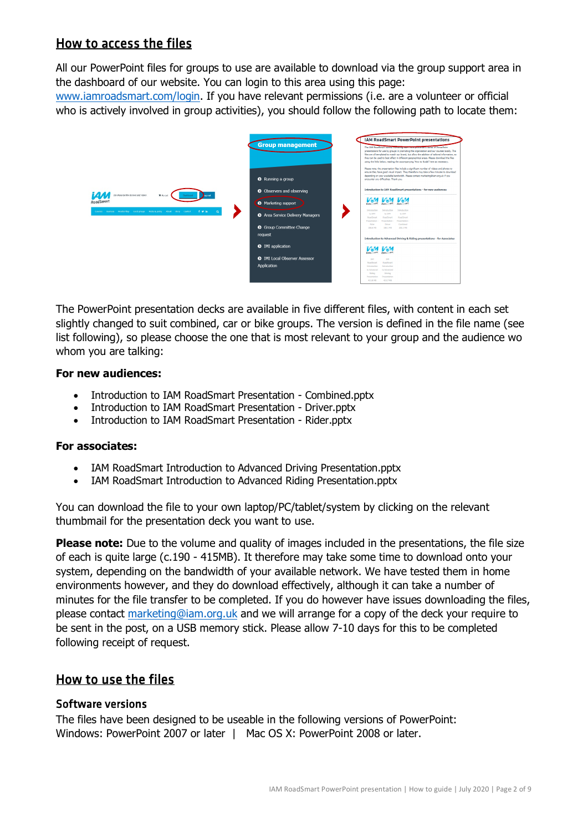## How to access the files

All our PowerPoint files for groups to use are available to download via the group support area in the dashboard of our website. You can login to this area using this page:

[www.iamroadsmart.com/login.](http://www.iamroadsmart.com/login) If you have relevant permissions (i.e. are a volunteer or official who is actively involved in group activities), you should follow the following path to locate them:



The PowerPoint presentation decks are available in five different files, with content in each set slightly changed to suit combined, car or bike groups. The version is defined in the file name (see list following), so please choose the one that is most relevant to your group and the audience wo whom you are talking:

#### **For new audiences:**

- Introduction to IAM RoadSmart Presentation Combined.pptx
- Introduction to IAM RoadSmart Presentation Driver.pptx
- Introduction to IAM RoadSmart Presentation Rider.pptx

#### **For associates:**

- IAM RoadSmart Introduction to Advanced Driving Presentation.pptx
- IAM RoadSmart Introduction to Advanced Riding Presentation.pptx

You can download the file to your own laptop/PC/tablet/system by clicking on the relevant thumbmail for the presentation deck you want to use.

**Please note:** Due to the volume and quality of images included in the presentations, the file size of each is quite large (c.190 - 415MB). It therefore may take some time to download onto your system, depending on the bandwidth of your available network. We have tested them in home environments however, and they do download effectively, although it can take a number of minutes for the file transfer to be completed. If you do however have issues downloading the files, please contact [marketing@iam.org.uk](mailto:marketing@iam.org.uk) and we will arrange for a copy of the deck your require to be sent in the post, on a USB memory stick. Please allow 7-10 days for this to be completed following receipt of request.

## How to use the files

#### Software versions

The files have been designed to be useable in the following versions of PowerPoint: Windows: PowerPoint 2007 or later | Mac OS X: PowerPoint 2008 or later.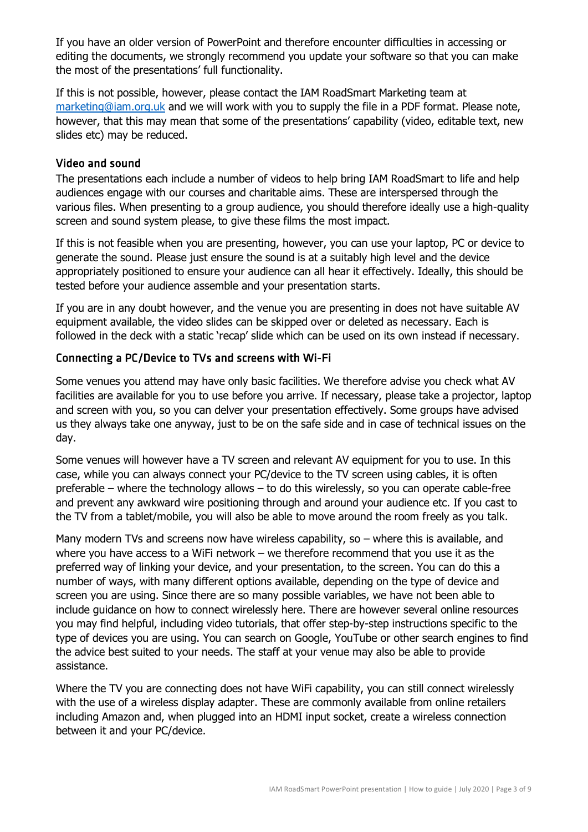If you have an older version of PowerPoint and therefore encounter difficulties in accessing or editing the documents, we strongly recommend you update your software so that you can make the most of the presentations' full functionality.

If this is not possible, however, please contact the IAM RoadSmart Marketing team at [marketing@iam.org.uk](mailto:marketing@iam.org.uk) and we will work with you to supply the file in a PDF format. Please note, however, that this may mean that some of the presentations' capability (video, editable text, new slides etc) may be reduced.

#### Video and sound

The presentations each include a number of videos to help bring IAM RoadSmart to life and help audiences engage with our courses and charitable aims. These are interspersed through the various files. When presenting to a group audience, you should therefore ideally use a high-quality screen and sound system please, to give these films the most impact.

If this is not feasible when you are presenting, however, you can use your laptop, PC or device to generate the sound. Please just ensure the sound is at a suitably high level and the device appropriately positioned to ensure your audience can all hear it effectively. Ideally, this should be tested before your audience assemble and your presentation starts.

If you are in any doubt however, and the venue you are presenting in does not have suitable AV equipment available, the video slides can be skipped over or deleted as necessary. Each is followed in the deck with a static 'recap' slide which can be used on its own instead if necessary.

#### Connecting a PC/Device to TVs and screens with Wi-Fi

Some venues you attend may have only basic facilities. We therefore advise you check what AV facilities are available for you to use before you arrive. If necessary, please take a projector, laptop and screen with you, so you can delver your presentation effectively. Some groups have advised us they always take one anyway, just to be on the safe side and in case of technical issues on the day.

Some venues will however have a TV screen and relevant AV equipment for you to use. In this case, while you can always connect your PC/device to the TV screen using cables, it is often preferable – where the technology allows – to do this wirelessly, so you can operate cable-free and prevent any awkward wire positioning through and around your audience etc. If you cast to the TV from a tablet/mobile, you will also be able to move around the room freely as you talk.

Many modern TVs and screens now have wireless capability, so - where this is available, and where you have access to a WiFi network – we therefore recommend that you use it as the preferred way of linking your device, and your presentation, to the screen. You can do this a number of ways, with many different options available, depending on the type of device and screen you are using. Since there are so many possible variables, we have not been able to include guidance on how to connect wirelessly here. There are however several online resources you may find helpful, including video tutorials, that offer step-by-step instructions specific to the type of devices you are using. You can search on Google, YouTube or other search engines to find the advice best suited to your needs. The staff at your venue may also be able to provide assistance.

Where the TV you are connecting does not have WiFi capability, you can still connect wirelessly with the use of a wireless display adapter. These are commonly available from online retailers including Amazon and, when plugged into an HDMI input socket, create a wireless connection between it and your PC/device.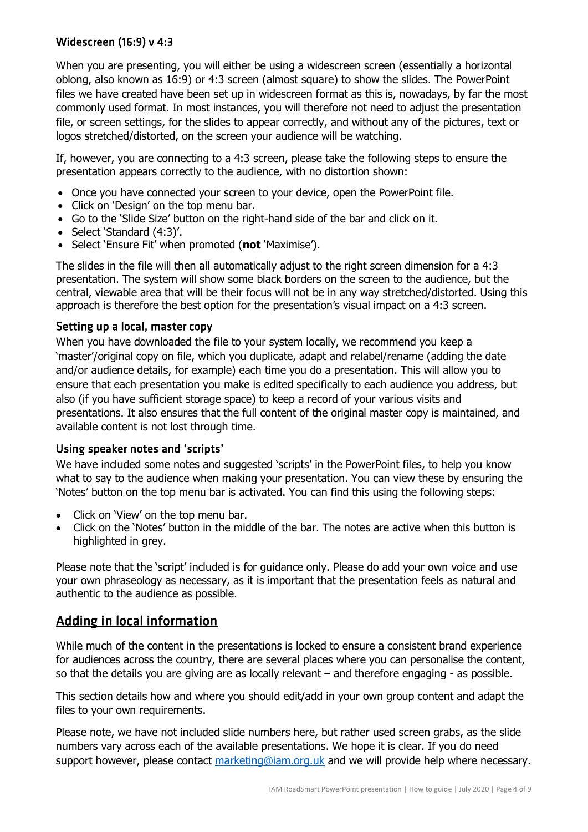#### Widescreen (16:9) v 4:3

When you are presenting, you will either be using a widescreen screen (essentially a horizontal oblong, also known as 16:9) or 4:3 screen (almost square) to show the slides. The PowerPoint files we have created have been set up in widescreen format as this is, nowadays, by far the most commonly used format. In most instances, you will therefore not need to adjust the presentation file, or screen settings, for the slides to appear correctly, and without any of the pictures, text or logos stretched/distorted, on the screen your audience will be watching.

If, however, you are connecting to a 4:3 screen, please take the following steps to ensure the presentation appears correctly to the audience, with no distortion shown:

- Once you have connected your screen to your device, open the PowerPoint file.
- Click on 'Design' on the top menu bar.
- Go to the 'Slide Size' button on the right-hand side of the bar and click on it.
- Select 'Standard (4:3)'.
- Select 'Ensure Fit' when promoted (**not** 'Maximise').

The slides in the file will then all automatically adjust to the right screen dimension for a 4:3 presentation. The system will show some black borders on the screen to the audience, but the central, viewable area that will be their focus will not be in any way stretched/distorted. Using this approach is therefore the best option for the presentation's visual impact on a 4:3 screen.

#### Setting up a local, master copy

When you have downloaded the file to your system locally, we recommend you keep a 'master'/original copy on file, which you duplicate, adapt and relabel/rename (adding the date and/or audience details, for example) each time you do a presentation. This will allow you to ensure that each presentation you make is edited specifically to each audience you address, but also (if you have sufficient storage space) to keep a record of your various visits and presentations. It also ensures that the full content of the original master copy is maintained, and available content is not lost through time.

#### Using speaker notes and 'scripts'

We have included some notes and suggested 'scripts' in the PowerPoint files, to help you know what to say to the audience when making your presentation. You can view these by ensuring the 'Notes' button on the top menu bar is activated. You can find this using the following steps:

- Click on 'View' on the top menu bar.
- Click on the 'Notes' button in the middle of the bar. The notes are active when this button is highlighted in grey.

Please note that the 'script' included is for guidance only. Please do add your own voice and use your own phraseology as necessary, as it is important that the presentation feels as natural and authentic to the audience as possible.

## Adding in local information

While much of the content in the presentations is locked to ensure a consistent brand experience for audiences across the country, there are several places where you can personalise the content, so that the details you are giving are as locally relevant – and therefore engaging - as possible.

This section details how and where you should edit/add in your own group content and adapt the files to your own requirements.

Please note, we have not included slide numbers here, but rather used screen grabs, as the slide numbers vary across each of the available presentations. We hope it is clear. If you do need support however, please contact [marketing@iam.org.uk](mailto:marketing@iam.org.uk) and we will provide help where necessary.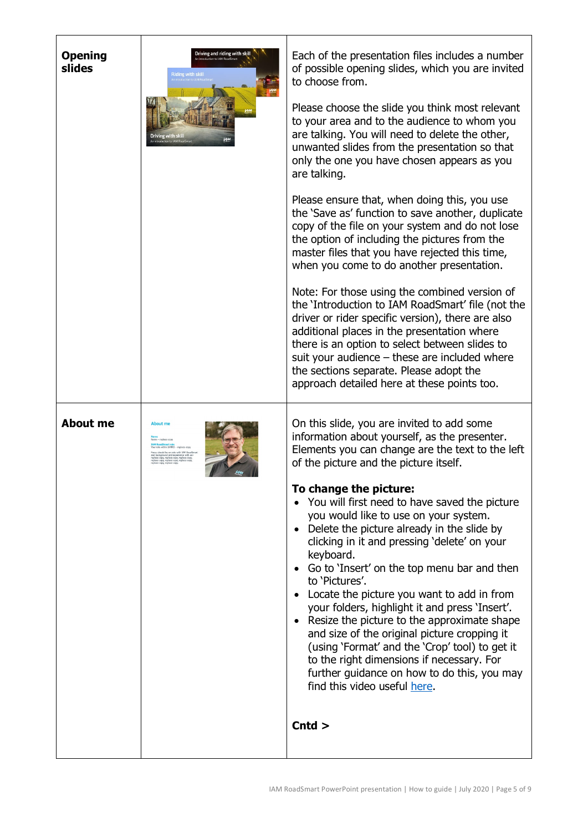| <b>Opening</b><br>slides | Driving and riding with skill<br>troduction to IAM Roa<br>ding with skil<br>Driving with ski | Each of the presentation files includes a number<br>of possible opening slides, which you are invited<br>to choose from.<br>Please choose the slide you think most relevant<br>to your area and to the audience to whom you<br>are talking. You will need to delete the other,<br>unwanted slides from the presentation so that<br>only the one you have chosen appears as you<br>are talking.<br>Please ensure that, when doing this, you use<br>the 'Save as' function to save another, duplicate<br>copy of the file on your system and do not lose<br>the option of including the pictures from the<br>master files that you have rejected this time,<br>when you come to do another presentation.<br>Note: For those using the combined version of<br>the 'Introduction to IAM RoadSmart' file (not the<br>driver or rider specific version), there are also<br>additional places in the presentation where<br>there is an option to select between slides to<br>suit your audience - these are included where<br>the sections separate. Please adopt the<br>approach detailed here at these points too. |
|--------------------------|----------------------------------------------------------------------------------------------|---------------------------------------------------------------------------------------------------------------------------------------------------------------------------------------------------------------------------------------------------------------------------------------------------------------------------------------------------------------------------------------------------------------------------------------------------------------------------------------------------------------------------------------------------------------------------------------------------------------------------------------------------------------------------------------------------------------------------------------------------------------------------------------------------------------------------------------------------------------------------------------------------------------------------------------------------------------------------------------------------------------------------------------------------------------------------------------------------------------|
| <b>About me</b>          | <b>About me</b>                                                                              | On this slide, you are invited to add some<br>information about yourself, as the presenter.<br>Elements you can change are the text to the left<br>of the picture and the picture itself.<br>To change the picture:<br>You will first need to have saved the picture<br>you would like to use on your system.<br>Delete the picture already in the slide by<br>clicking in it and pressing 'delete' on your<br>keyboard.<br>• Go to 'Insert' on the top menu bar and then<br>to 'Pictures'.<br>Locate the picture you want to add in from<br>your folders, highlight it and press 'Insert'.<br>Resize the picture to the approximate shape<br>and size of the original picture cropping it<br>(using 'Format' and the 'Crop' tool) to get it<br>to the right dimensions if necessary. For<br>further guidance on how to do this, you may<br>find this video useful here.<br>$\mathsf{C}$ ntd $>$                                                                                                                                                                                                              |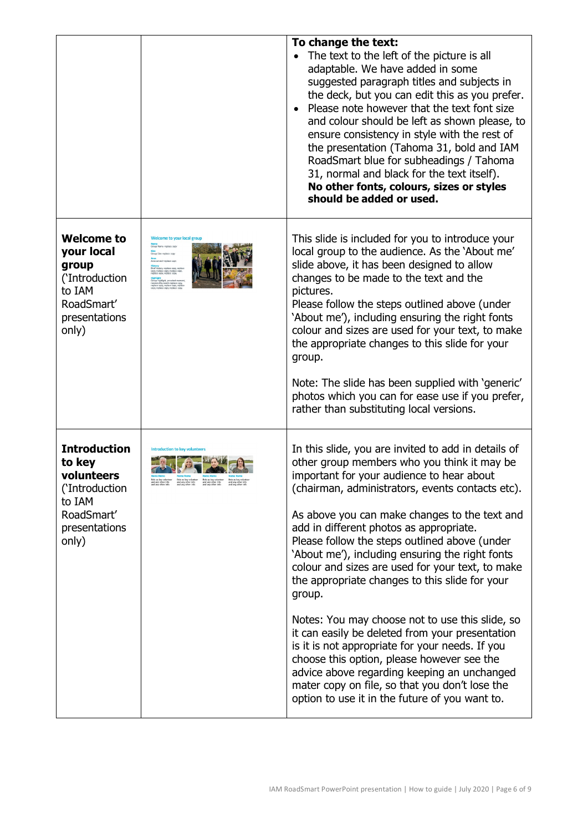|                                                                                                                 |                                       | To change the text:<br>The text to the left of the picture is all<br>adaptable. We have added in some<br>suggested paragraph titles and subjects in<br>the deck, but you can edit this as you prefer.<br>Please note however that the text font size<br>$\bullet$<br>and colour should be left as shown please, to<br>ensure consistency in style with the rest of<br>the presentation (Tahoma 31, bold and IAM<br>RoadSmart blue for subheadings / Tahoma<br>31, normal and black for the text itself).<br>No other fonts, colours, sizes or styles<br>should be added or used.                                                                                                                                                                                                                                                                                              |
|-----------------------------------------------------------------------------------------------------------------|---------------------------------------|-------------------------------------------------------------------------------------------------------------------------------------------------------------------------------------------------------------------------------------------------------------------------------------------------------------------------------------------------------------------------------------------------------------------------------------------------------------------------------------------------------------------------------------------------------------------------------------------------------------------------------------------------------------------------------------------------------------------------------------------------------------------------------------------------------------------------------------------------------------------------------|
| <b>Welcome to</b><br>your local<br>group<br>('Introduction<br>to IAM<br>RoadSmart'<br>presentations<br>only)    | Welcome to your local group           | This slide is included for you to introduce your<br>local group to the audience. As the 'About me'<br>slide above, it has been designed to allow<br>changes to be made to the text and the<br>pictures.<br>Please follow the steps outlined above (under<br>'About me'), including ensuring the right fonts<br>colour and sizes are used for your text, to make<br>the appropriate changes to this slide for your<br>group.<br>Note: The slide has been supplied with 'generic'<br>photos which you can for ease use if you prefer,<br>rather than substituting local versions.                                                                                                                                                                                                                                                                                               |
| <b>Introduction</b><br>to key<br>volunteers<br>('Introduction<br>to IAM<br>RoadSmart'<br>presentations<br>only) | <b>Introduction to key volunteers</b> | In this slide, you are invited to add in details of<br>other group members who you think it may be<br>important for your audience to hear about<br>(chairman, administrators, events contacts etc).<br>As above you can make changes to the text and<br>add in different photos as appropriate.<br>Please follow the steps outlined above (under<br>'About me'), including ensuring the right fonts<br>colour and sizes are used for your text, to make<br>the appropriate changes to this slide for your<br>group.<br>Notes: You may choose not to use this slide, so<br>it can easily be deleted from your presentation<br>is it is not appropriate for your needs. If you<br>choose this option, please however see the<br>advice above regarding keeping an unchanged<br>mater copy on file, so that you don't lose the<br>option to use it in the future of you want to. |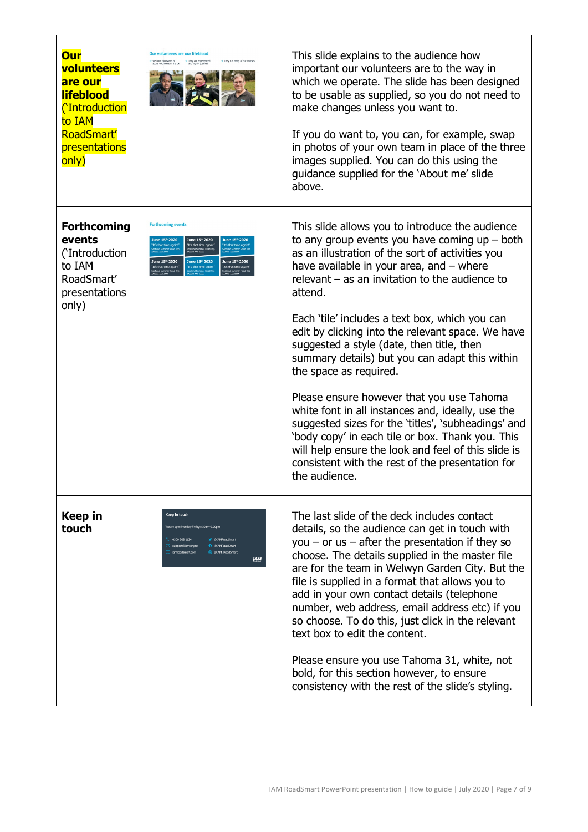| <b>Our</b><br>volunteers<br>are our<br><b>lifeblood</b><br><i><b>CIntroduction</b></i><br>to IAM<br>RoadSmart'<br>presentations<br>only) | <b>Our volunteers are our lifeblood</b>                                                                                                                                                        | This slide explains to the audience how<br>important our volunteers are to the way in<br>which we operate. The slide has been designed<br>to be usable as supplied, so you do not need to<br>make changes unless you want to.<br>If you do want to, you can, for example, swap<br>in photos of your own team in place of the three<br>images supplied. You can do this using the<br>guidance supplied for the 'About me' slide<br>above.                                                                                                                                                                                                                                                                                                                                                                                                     |
|------------------------------------------------------------------------------------------------------------------------------------------|------------------------------------------------------------------------------------------------------------------------------------------------------------------------------------------------|----------------------------------------------------------------------------------------------------------------------------------------------------------------------------------------------------------------------------------------------------------------------------------------------------------------------------------------------------------------------------------------------------------------------------------------------------------------------------------------------------------------------------------------------------------------------------------------------------------------------------------------------------------------------------------------------------------------------------------------------------------------------------------------------------------------------------------------------|
| <b>Forthcoming</b><br>events<br>('Introduction<br>to IAM<br>RoadSmart'<br>presentations<br>only)                                         | <b>Forthcoming events</b><br>e 15 <sup>th</sup> 2020<br>June 15th 2020<br>at time again<br>It's that time again!<br>It's that time again<br>June 15th 2020<br>June 15th 2020<br>June 15th 2020 | This slide allows you to introduce the audience<br>to any group events you have coming $up$ – both<br>as an illustration of the sort of activities you<br>have available in your area, and $-$ where<br>relevant $-$ as an invitation to the audience to<br>attend.<br>Each 'tile' includes a text box, which you can<br>edit by clicking into the relevant space. We have<br>suggested a style (date, then title, then<br>summary details) but you can adapt this within<br>the space as required.<br>Please ensure however that you use Tahoma<br>white font in all instances and, ideally, use the<br>suggested sizes for the 'titles', 'subheadings' and<br>'body copy' in each tile or box. Thank you. This<br>will help ensure the look and feel of this slide is<br>consistent with the rest of the presentation for<br>the audience. |
| <b>Keep in</b><br>touch                                                                                                                  | Keep in touch<br>We are open Monday-Friday 8.30am-6.00pm<br>0300 303 1134<br>OIAMRoadSmart<br><b>O</b> @IAMRoadSmart<br>support@iam.org.uk<br>C @IAM RoadSmart<br>jammadsmart.com<br><b>UM</b> | The last slide of the deck includes contact<br>details, so the audience can get in touch with<br>you $-$ or us $-$ after the presentation if they so<br>choose. The details supplied in the master file<br>are for the team in Welwyn Garden City. But the<br>file is supplied in a format that allows you to<br>add in your own contact details (telephone<br>number, web address, email address etc) if you<br>so choose. To do this, just click in the relevant<br>text box to edit the content.<br>Please ensure you use Tahoma 31, white, not<br>bold, for this section however, to ensure<br>consistency with the rest of the slide's styling.                                                                                                                                                                                         |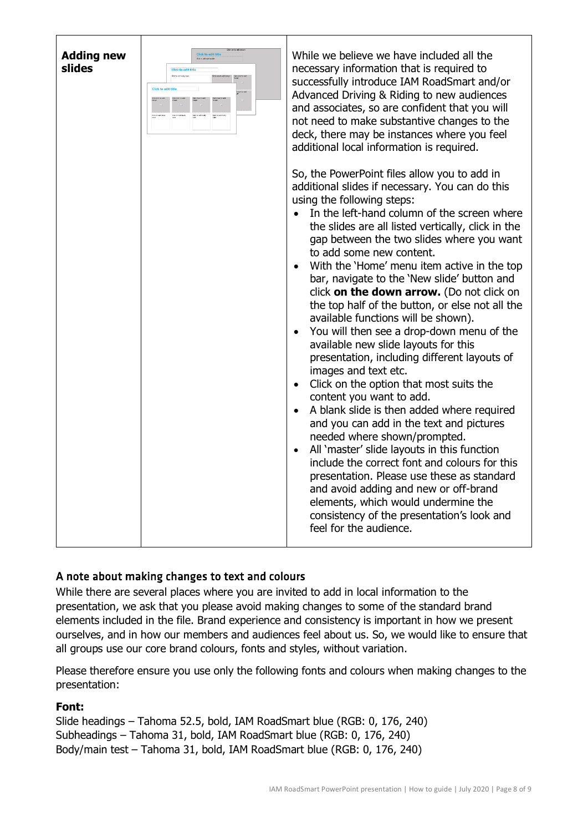| <b>Adding new</b><br><b>Hick to edit titl</b><br>slides<br><b>Click to edit title</b><br>Click to get body our<br><b>Click</b> to edit<br>Gd <sub>1</sub> | While we believe we have included all the<br>necessary information that is required to<br>successfully introduce IAM RoadSmart and/or<br>Advanced Driving & Riding to new audiences<br>and associates, so are confident that you will<br>not need to make substantive changes to the<br>deck, there may be instances where you feel<br>additional local information is required.<br>So, the PowerPoint files allow you to add in<br>additional slides if necessary. You can do this<br>using the following steps:<br>In the left-hand column of the screen where<br>$\bullet$<br>the slides are all listed vertically, click in the<br>gap between the two slides where you want<br>to add some new content.<br>With the 'Home' menu item active in the top<br>bar, navigate to the 'New slide' button and<br>click on the down arrow. (Do not click on<br>the top half of the button, or else not all the<br>available functions will be shown).<br>You will then see a drop-down menu of the<br>available new slide layouts for this<br>presentation, including different layouts of<br>images and text etc.<br>Click on the option that most suits the<br>content you want to add.<br>A blank slide is then added where required<br>and you can add in the text and pictures<br>needed where shown/prompted.<br>All 'master' slide layouts in this function<br>include the correct font and colours for this<br>presentation. Please use these as standard<br>and avoid adding and new or off-brand<br>elements, which would undermine the<br>consistency of the presentation's look and<br>feel for the audience. |
|-----------------------------------------------------------------------------------------------------------------------------------------------------------|-----------------------------------------------------------------------------------------------------------------------------------------------------------------------------------------------------------------------------------------------------------------------------------------------------------------------------------------------------------------------------------------------------------------------------------------------------------------------------------------------------------------------------------------------------------------------------------------------------------------------------------------------------------------------------------------------------------------------------------------------------------------------------------------------------------------------------------------------------------------------------------------------------------------------------------------------------------------------------------------------------------------------------------------------------------------------------------------------------------------------------------------------------------------------------------------------------------------------------------------------------------------------------------------------------------------------------------------------------------------------------------------------------------------------------------------------------------------------------------------------------------------------------------------------------------------------------------------------------------------------|
|-----------------------------------------------------------------------------------------------------------------------------------------------------------|-----------------------------------------------------------------------------------------------------------------------------------------------------------------------------------------------------------------------------------------------------------------------------------------------------------------------------------------------------------------------------------------------------------------------------------------------------------------------------------------------------------------------------------------------------------------------------------------------------------------------------------------------------------------------------------------------------------------------------------------------------------------------------------------------------------------------------------------------------------------------------------------------------------------------------------------------------------------------------------------------------------------------------------------------------------------------------------------------------------------------------------------------------------------------------------------------------------------------------------------------------------------------------------------------------------------------------------------------------------------------------------------------------------------------------------------------------------------------------------------------------------------------------------------------------------------------------------------------------------------------|

## A note about making changes to text and colours

While there are several places where you are invited to add in local information to the presentation, we ask that you please avoid making changes to some of the standard brand elements included in the file. Brand experience and consistency is important in how we present ourselves, and in how our members and audiences feel about us. So, we would like to ensure that all groups use our core brand colours, fonts and styles, without variation.

Please therefore ensure you use only the following fonts and colours when making changes to the presentation:

#### **Font:**

Slide headings – Tahoma 52.5, bold, IAM RoadSmart blue (RGB: 0, 176, 240) Subheadings – Tahoma 31, bold, IAM RoadSmart blue (RGB: 0, 176, 240) Body/main test – Tahoma 31, bold, IAM RoadSmart blue (RGB: 0, 176, 240)